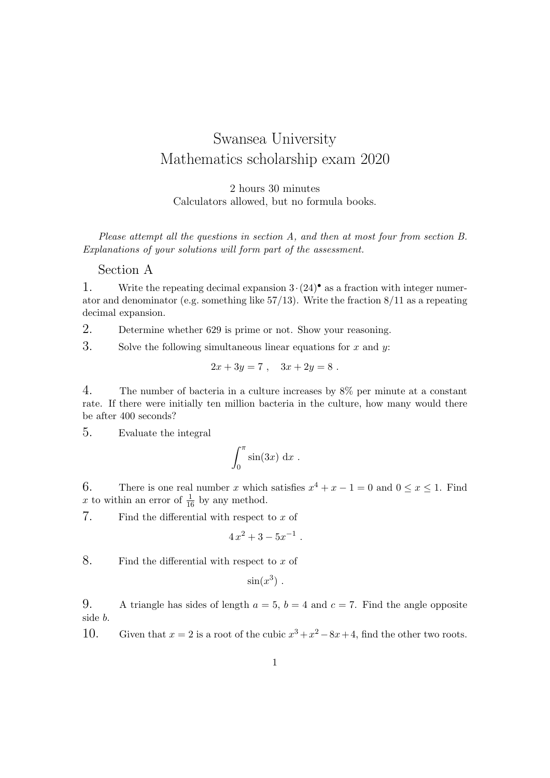## Swansea University Mathematics scholarship exam 2020

2 hours 30 minutes Calculators allowed, but no formula books.

Please attempt all the questions in section A, and then at most four from section B. Explanations of your solutions will form part of the assessment.

## Section A

1. Write the repeating decimal expansion  $3 \cdot (24)^{\bullet}$  as a fraction with integer numerator and denominator (e.g. something like 57/13). Write the fraction 8/11 as a repeating decimal expansion.

2. Determine whether 629 is prime or not. Show your reasoning.

3. Solve the following simultaneous linear equations for  $x$  and  $y$ :

$$
2x + 3y = 7 , \quad 3x + 2y = 8 .
$$

4. The number of bacteria in a culture increases by 8% per minute at a constant rate. If there were initially ten million bacteria in the culture, how many would there be after 400 seconds?

5. Evaluate the integral

$$
\int_0^\pi \sin(3x) \, \mathrm{d}x \; .
$$

6. There is one real number x which satisfies  $x^4 + x - 1 = 0$  and  $0 \le x \le 1$ . Find x to within an error of  $\frac{1}{16}$  by any method.

7. Find the differential with respect to  $x$  of

$$
4x^2 + 3 - 5x^{-1} .
$$

8. Find the differential with respect to  $x$  of

$$
\sin(x^3) .
$$

9. A triangle has sides of length  $a = 5$ ,  $b = 4$  and  $c = 7$ . Find the angle opposite side b.

10. Given that  $x = 2$  is a root of the cubic  $x^3 + x^2 - 8x + 4$ , find the other two roots.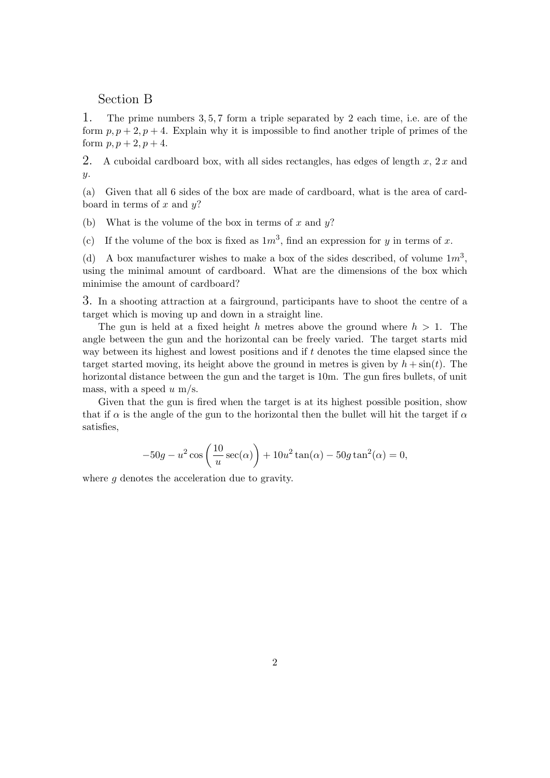## Section B

1. The prime numbers 3, 5, 7 form a triple separated by 2 each time, i.e. are of the form  $p, p+2, p+4$ . Explain why it is impossible to find another triple of primes of the form  $p, p + 2, p + 4.$ 

2. A cuboidal cardboard box, with all sides rectangles, has edges of length  $x, 2x$  and y.

(a) Given that all 6 sides of the box are made of cardboard, what is the area of cardboard in terms of x and  $y$ ?

(b) What is the volume of the box in terms of x and  $y$ ?

(c) If the volume of the box is fixed as  $1m<sup>3</sup>$ , find an expression for y in terms of x.

(d) A box manufacturer wishes to make a box of the sides described, of volume  $1m<sup>3</sup>$ , using the minimal amount of cardboard. What are the dimensions of the box which minimise the amount of cardboard?

3. In a shooting attraction at a fairground, participants have to shoot the centre of a target which is moving up and down in a straight line.

The gun is held at a fixed height h metres above the ground where  $h > 1$ . The angle between the gun and the horizontal can be freely varied. The target starts mid way between its highest and lowest positions and if t denotes the time elapsed since the target started moving, its height above the ground in metres is given by  $h + \sin(t)$ . The horizontal distance between the gun and the target is 10m. The gun fires bullets, of unit mass, with a speed  $u$  m/s.

Given that the gun is fired when the target is at its highest possible position, show that if  $\alpha$  is the angle of the gun to the horizontal then the bullet will hit the target if  $\alpha$ satisfies,

$$
-50g - u^2 \cos\left(\frac{10}{u}\sec(\alpha)\right) + 10u^2 \tan(\alpha) - 50g \tan^2(\alpha) = 0,
$$

where g denotes the acceleration due to gravity.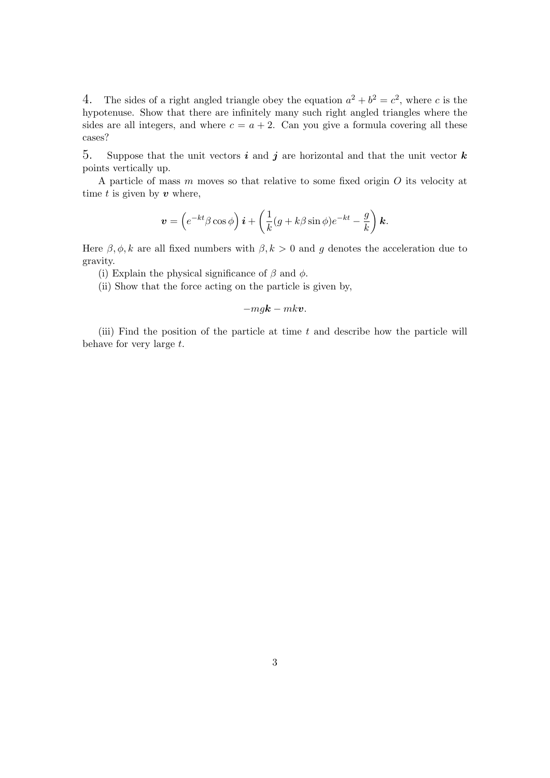4. The sides of a right angled triangle obey the equation  $a^2 + b^2 = c^2$ , where c is the hypotenuse. Show that there are infinitely many such right angled triangles where the sides are all integers, and where  $c = a + 2$ . Can you give a formula covering all these cases?

5. Suppose that the unit vectors i and j are horizontal and that the unit vector  $k$ points vertically up.

A particle of mass m moves so that relative to some fixed origin O its velocity at time t is given by  $v$  where,

$$
\boldsymbol{v} = \left(e^{-kt}\beta\cos\phi\right)\boldsymbol{i} + \left(\frac{1}{k}(g+k\beta\sin\phi)e^{-kt} - \frac{g}{k}\right)\boldsymbol{k}.
$$

Here  $\beta$ ,  $\phi$ , k are all fixed numbers with  $\beta$ ,  $k > 0$  and g denotes the acceleration due to gravity.

(i) Explain the physical significance of  $\beta$  and  $\phi$ .

(ii) Show that the force acting on the particle is given by,

$$
-m g \mathbf{k} - m k \mathbf{v}.
$$

(iii) Find the position of the particle at time  $t$  and describe how the particle will behave for very large  $t$ .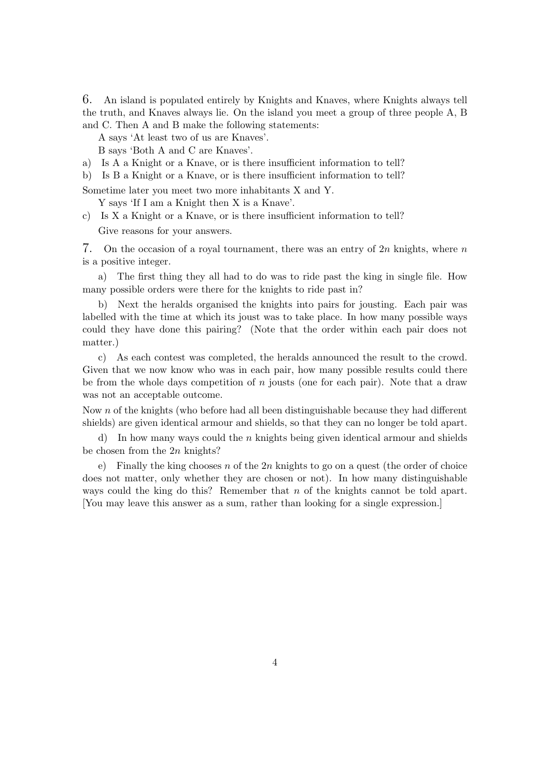6. An island is populated entirely by Knights and Knaves, where Knights always tell the truth, and Knaves always lie. On the island you meet a group of three people A, B and C. Then A and B make the following statements:

A says 'At least two of us are Knaves'.

B says 'Both A and C are Knaves'.

- a) Is A a Knight or a Knave, or is there insufficient information to tell?
- b) Is B a Knight or a Knave, or is there insufficient information to tell?

Sometime later you meet two more inhabitants X and Y.

Y says 'If I am a Knight then X is a Knave'.

c) Is X a Knight or a Knave, or is there insufficient information to tell? Give reasons for your answers.

7. On the occasion of a royal tournament, there was an entry of  $2n$  knights, where n is a positive integer.

a) The first thing they all had to do was to ride past the king in single file. How many possible orders were there for the knights to ride past in?

b) Next the heralds organised the knights into pairs for jousting. Each pair was labelled with the time at which its joust was to take place. In how many possible ways could they have done this pairing? (Note that the order within each pair does not matter.)

c) As each contest was completed, the heralds announced the result to the crowd. Given that we now know who was in each pair, how many possible results could there be from the whole days competition of  $n$  jousts (one for each pair). Note that a draw was not an acceptable outcome.

Now n of the knights (who before had all been distinguishable because they had different shields) are given identical armour and shields, so that they can no longer be told apart.

d) In how many ways could the n knights being given identical armour and shields be chosen from the  $2n$  knights?

e) Finally the king chooses n of the  $2n$  knights to go on a quest (the order of choice does not matter, only whether they are chosen or not). In how many distinguishable ways could the king do this? Remember that  $n$  of the knights cannot be told apart. [You may leave this answer as a sum, rather than looking for a single expression.]